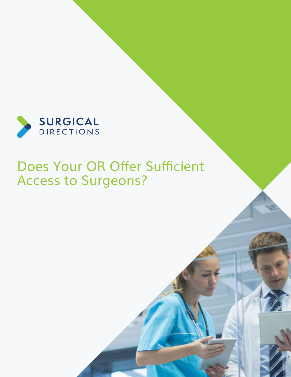

# Does Your OR Offer Sufficient Access to Surgeons?

[www.surgicaldirections.com](http://www.surgicaldirections.com) A11 and A11 and A11 and A11 and A11 and A11 and A11 and A11 and A11 and A11 and A11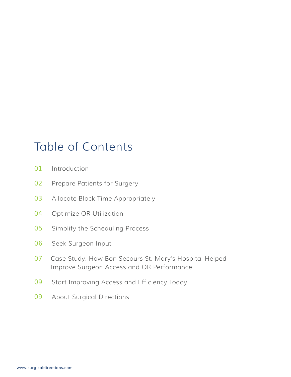# Table of Contents

- [Introduction](#page-2-0)
- [Prepare Patients for Surgery](#page-3-0)
- [Allocate Block Time Appropriately](#page-4-0)
- [Optimize OR Utilization](#page-5-0)
- [Simplify the Scheduling Process](#page-6-0)
- [Seek Surgeon Input](#page-7-0)
- [Case Study: How Bon Secours St. Mary's Hospital Helped](#page-8-0)  [Improve Surgeon Access and OR Performance](#page-8-0)
- 09 Start Improving Access and Efficiency Today
- [About Surgical Directions](#page-10-0)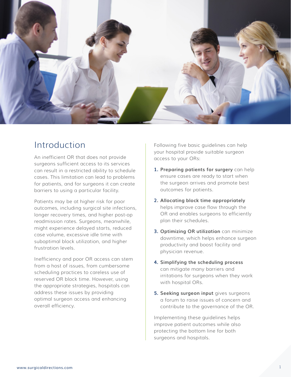<span id="page-2-0"></span>

## Introduction

An inefficient OR that does not provide surgeons sufficient access to its services can result in a restricted ability to schedule cases. This limitation can lead to problems for patients, and for surgeons it can create barriers to using a particular facility.

Patients may be at higher risk for poor outcomes, including surgical site infections, longer recovery times, and higher post-op readmission rates. Surgeons, meanwhile, might experience delayed starts, reduced case volume, excessive idle time with suboptimal block utilization, and higher frustration levels.

Inefficiency and poor OR access can stem from a host of issues, from cumbersome scheduling practices to careless use of reserved OR block time. However, using the appropriate strategies, hospitals can address these issues by providing optimal surgeon access and enhancing overall efficiency.

Following five basic guidelines can help your hospital provide suitable surgeon access to your ORs:

- **1. Preparing patients for surgery** can help ensure cases are ready to start when the surgeon arrives and promote best outcomes for patients.
- **2. Allocating block time appropriately** helps improve case flow through the OR and enables surgeons to efficiently plan their schedules.
- **3. Optimizing OR utilization** can minimize downtime, which helps enhance surgeon productivity and boost facility and physician revenue.
- **4. Simplifying the scheduling process** can mitigate many barriers and irritations for surgeons when they work with hospital ORs.
- **5. Seeking surgeon input** gives surgeons a forum to raise issues of concern and contribute to the governance of the OR.

Implementing these guidelines helps improve patient outcomes while also protecting the bottom line for both surgeons and hospitals.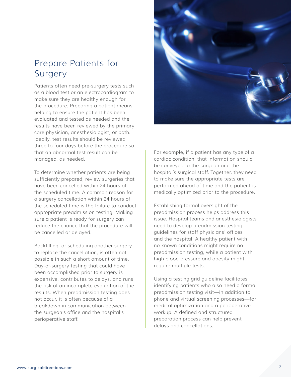# <span id="page-3-0"></span>Prepare Patients for Surgery

Patients often need pre-surgery tests such as a blood test or an electrocardiogram to make sure they are healthy enough for the procedure. Preparing a patient means helping to ensure the patient has been evaluated and tested as needed and the results have been reviewed by the primary care physician, anesthesiologist, or both. Ideally, test results should be reviewed three to four days before the procedure so that an abnormal test result can be managed, as needed.

To determine whether patients are being sufficiently prepared, review surgeries that have been cancelled within 24 hours of the scheduled time. A common reason for a surgery cancellation within 24 hours of the scheduled time is the failure to conduct appropriate preadmission testing. Making sure a patient is ready for surgery can reduce the chance that the procedure will be cancelled or delayed.

Backfilling, or scheduling another surgery to replace the cancellation, is often not possible in such a short amount of time. Day-of-surgery testing that could have been accomplished prior to surgery is expensive, contributes to delays, and runs the risk of an incomplete evaluation of the results. When preadmission testing does not occur, it is often because of a breakdown in communication between the surgeon's office and the hospital's perioperative staff.



For example, if a patient has any type of a cardiac condition, that information should be conveyed to the surgeon and the hospital's surgical staff. Together, they need to make sure the appropriate tests are performed ahead of time and the patient is medically optimized prior to the procedure.

Establishing formal oversight of the preadmission process helps address this issue. Hospital teams and anesthesiologists need to develop preadmission testing guidelines for staff physicians' offices and the hospital. A healthy patient with no known conditions might require no preadmission testing, while a patient with high blood pressure and obesity might require multiple tests.

Using a testing grid guideline facilitates identifying patients who also need a formal preadmission testing visit—in addition to phone and virtual screening processes—for medical optimization and a perioperative workup. A defined and structured preparation process can help prevent delays and cancellations.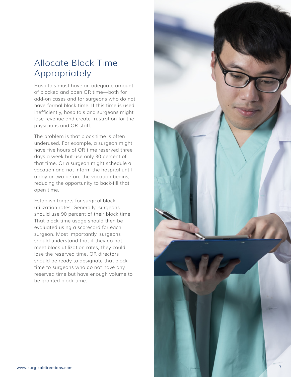# <span id="page-4-0"></span>Allocate Block Time Appropriately

Hospitals must have an adequate amount of blocked and open OR time—both for add-on cases and for surgeons who do not have formal block time. If this time is used inefficiently, hospitals and surgeons might lose revenue and create frustration for the physicians and OR staff.

The problem is that block time is often underused. For example, a surgeon might have five hours of OR time reserved three days a week but use only 30 percent of that time. Or a surgeon might schedule a vacation and not inform the hospital until a day or two before the vacation begins, reducing the opportunity to back-fill that open time.

Establish targets for surgical block utilization rates. Generally, surgeons should use 90 percent of their block time. That block time usage should then be evaluated using a scorecard for each surgeon. Most importantly, surgeons should understand that if they do not meet block utilization rates, they could lose the reserved time. OR directors should be ready to designate that block time to surgeons who do not have any reserved time but have enough volume to be granted block time.

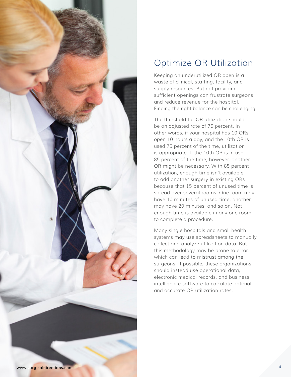<span id="page-5-0"></span>

# Optimize OR Utilization

Keeping an underutilized OR open is a waste of clinical, staffing, facility, and supply resources. But not providing sufficient openings can frustrate surgeons and reduce revenue for the hospital. Finding the right balance can be challenging.

The threshold for OR utilization should be an adjusted rate of 75 percent. In other words, if your hospital has 10 ORs open 10 hours a day, and the 10th OR is used 75 percent of the time, utilization is appropriate. If the 10th OR is in use 85 percent of the time, however, another OR might be necessary. With 85 percent utilization, enough time isn't available to add another surgery in existing ORs because that 15 percent of unused time is spread over several rooms. One room may have 10 minutes of unused time, another may have 20 minutes, and so on. Not enough time is available in any one room to complete a procedure.

Many single hospitals and small health systems may use spreadsheets to manually collect and analyze utilization data. But this methodology may be prone to error, which can lead to mistrust among the surgeons. If possible, these organizations should instead use operational data, electronic medical records, and business intelligence software to calculate optimal and accurate OR utilization rates.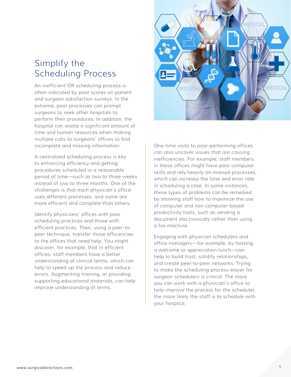## <span id="page-6-0"></span>Simplify the Scheduling Process

An inefficient OR scheduling process is often indicated by poor scores on patient and surgeon satisfaction surveys. In the extreme, poor processes can prompt surgeons to seek other hospitals to perform their procedures. In addition, the hospital can waste a significant amount of time and human resources when making multiple calls to surgeons' offices to find incomplete and missing information.

A centralized scheduling process is key to enhancing efficiency and getting procedures scheduled in a reasonable period of time—such as two to three weeks instead of two to three months. One of the challenges is that each physician's office uses different processes, and some are more efficient and complete than others.

Identify physicians' offices with poor scheduling practices and those with efficient practices. Then, using a peer-topeer technique, transfer those efficiencies to the offices that need help. You might discover, for example, that in efficient offices, staff members have a better understanding of clinical terms, which can help to speed up the process and reduce errors. Augmenting training, or providing supporting educational materials, can help improve understanding of terms.



One-time visits to poor-performing offices can also uncover issues that are causing inefficiencies. For example, staff members in these offices might have poor computer skills and rely heavily on manual processes, which can increase the time and error rate in scheduling a case. In some instances, these types of problems can be remedied by showing staff how to maximize the use of computer and non-computer-based productivity tools, such as sending a document electronically rather than using a fax machine.

Engaging with physician schedulers and office managers—for example, by hosting a welcome or appreciation lunch—can help to build trust, solidify relationships, and create peer-to-peer networks. Trying to make the scheduling process easier for surgeon schedulers is critical. The more you can work with a physician's office to help improve the process for the scheduler, the more likely the staff is to schedule with your hospital.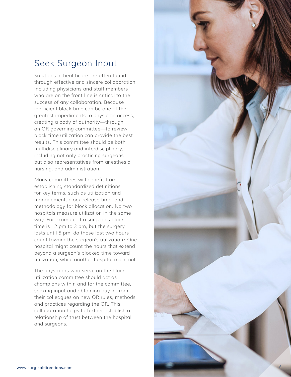## <span id="page-7-0"></span>Seek Surgeon Input

Solutions in healthcare are often found through effective and sincere collaboration. Including physicians and staff members who are on the front line is critical to the success of any collaboration. Because inefficient block time can be one of the greatest impediments to physician access, creating a body of authority—through an OR governing committee—to review block time utilization can provide the best results. This committee should be both multidisciplinary and interdisciplinary, including not only practicing surgeons but also representatives from anesthesia, nursing, and administration.

Many committees will benefit from establishing standardized definitions for key terms, such as utilization and management, block release time, and methodology for block allocation. No two hospitals measure utilization in the same way. For example, if a surgeon's block time is 12 pm to 3 pm, but the surgery lasts until 5 pm, do those last two hours count toward the surgeon's utilization? One hospital might count the hours that extend beyond a surgeon's blocked time toward utilization, while another hospital might not.

The physicians who serve on the block utilization committee should act as champions within and for the committee, seeking input and obtaining buy in from their colleagues on new OR rules, methods, and practices regarding the OR. This collaboration helps to further establish a relationship of trust between the hospital and surgeons.

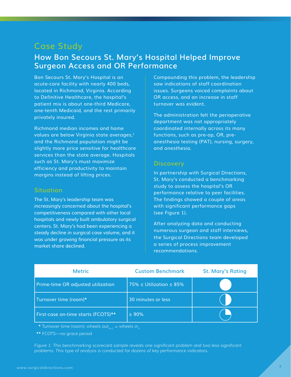### <span id="page-8-0"></span>**Case Study**

### **How Bon Secours St. Mary's Hospital Helped Improve Surgeon Access and OR Performance**

Bon Secours St. Mary's Hospital is an acute-care facility with nearly 400 beds, located in Richmond, Virginia. According to Definitive Healthcare, the hospital's patient mix is about one-third Medicare, one-tenth Medicaid, and the rest primarily privately insured.

Richmond median incomes and home values are below Virginia state averages,<sup>1</sup> and the Richmond population might be slightly more price sensitive for healthcare services than the state average. Hospitals such as St. Mary's must maximize efficiency and productivity to maintain margins instead of lifting prices.

#### **Situation**

The St. Mary's leadership team was increasingly concerned about the hospital's competitiveness compared with other local hospitals and newly built ambulatory surgical centers. St. Mary's had been experiencing a steady decline in surgical case volume, and it was under growing financial pressure as its market share declined.

Compounding this problem, the leadership saw indications of staff coordination issues. Surgeons voiced complaints about OR access, and an increase in staff turnover was evident.

The administration felt the perioperative department was not appropriately coordinated internally across its many functions, such as pre-op, OR, preanesthesia testing (PAT), nursing, surgery, and anesthesia.

#### **Discovery**

In partnership with Surgical Directions, St. Mary's conducted a benchmarking study to assess the hospital's OR performance relative to peer facilities. The findings showed a couple of areas with significant performance gaps (see Figure 1).

After analyzing data and conducting numerous surgeon and staff interviews, the Surgical Directions team developed a series of process improvement recommendations.

| <b>Metric</b>                       | <b>Custom Benchmark</b>           | <b>St. Mary's Rating</b> |
|-------------------------------------|-----------------------------------|--------------------------|
| Prime-time OR adjusted utilization  | 75% $\leq$ Utilization $\leq$ 85% |                          |
| Turnover time (room)*               | 30 minutes or less                |                          |
| First-case on-time starts (FCOTS)** | $\geq 90\%$                       |                          |

<u>**\*** Turnover time (room): wheels out<sub>n+1</sub> − wheels in<sub>n</sub></u>

**\*\*** FCOTS—no grace period

*Figure 1: This benchmarking scorecard sample reveals one significant problem and two less-significant problems. This type of analysis is conducted for dozens of key performance indicators.*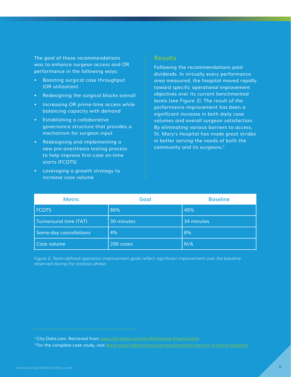The goal of these recommendations was to enhance surgeon access and OR performance in the following ways:

- Boosting surgical case throughput (OR utilization)
- Redesigning the surgical blocks overall
- Increasing OR prime-time access while balancing capacity with demand
- Establishing a collaborative governance structure that provides a mechanism for surgeon input
- Redesigning and implementing a new pre-anesthesia testing process to help improve first-case on-time starts (FCOTS)
- Leveraging a growth strategy to increase case volume

#### **Results**

Following the recommendations paid dividends. In virtually every performance area measured, the hospital moved rapidly toward specific operational improvement objectives over its current benchmarked levels (see Figure 2). The result of the performance improvement has been a significant increase in both daily case volumes and overall surgeon satisfaction. By eliminating various barriers to access, St. Mary's Hospital has made great strides in better serving the needs of both the community and its surgeons.<sup>2</sup>

| <b>Metric</b>          | Goal       | <b>Baseline</b> |
|------------------------|------------|-----------------|
| <b>FCOTS</b>           | 80%        | 40%             |
| Turnaround time (TAT)  | 30 minutes | 34 minutes      |
| Same-day cancellations | 4%         | 8%              |
| Case volume            | 200 cases  | N/A             |

*Figure 2: Team-defined operation improvement goals reflect significant improvement over the baseline observed during the analysis phase.*

<sup>1</sup>City-Data.com. Retrieved from [www.city-data.com/city/Richmond-Virginia.htm](http://www.city-data.com/city/Richmond-Virginia.html)l.

<sup>&</sup>lt;sup>2</sup> For the complete case study, visit [www.surgicaldirections.com/resource/bon-secours-st-marys-hospital/](https://www.surgicaldirections.com/resource/bon-secours-st-marys-hospital/)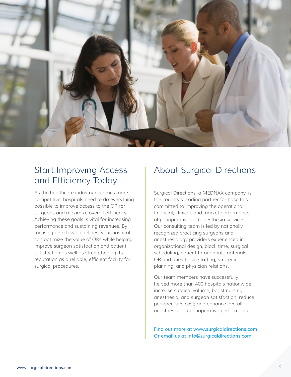<span id="page-10-0"></span>

# Start Improving Access and Efficiency Today

As the healthcare industry becomes more competitive, hospitals need to do everything possible to improve access to the OR for surgeons and maximize overall efficiency. Achieving these goals is vital for increasing performance and sustaining revenues. By focusing on a few guidelines, your hospital can optimize the value of ORs while helping improve surgeon satisfaction and patient satisfaction as well as strengthening its reputation as a reliable, efficient facility for surgical procedures.

# About Surgical Directions

Surgical Directions, a MEDNAX company, is the country's leading partner for hospitals committed to improving the operational, financial, clinical, and market performance of perioperative and anesthesia services. Our consulting team is led by nationally recognized practicing surgeons and anesthesiology providers experienced in organizational design, block time, surgical scheduling, patient throughput, materials, OR and anesthesia staffing, strategic planning, and physician relations.

Our team members have successfully helped more than 400 hospitals nationwide increase surgical volume; boost nursing, anesthesia, and surgeon satisfaction; reduce perioperative cost; and enhance overall anesthesia and perioperative performance.

Find out more at [www.surgicaldirections.com](http://www.surgicaldirections.com) Or email us at [info@surgicaldirections.com](mailto:info%40surgicaldirections.com?subject=)